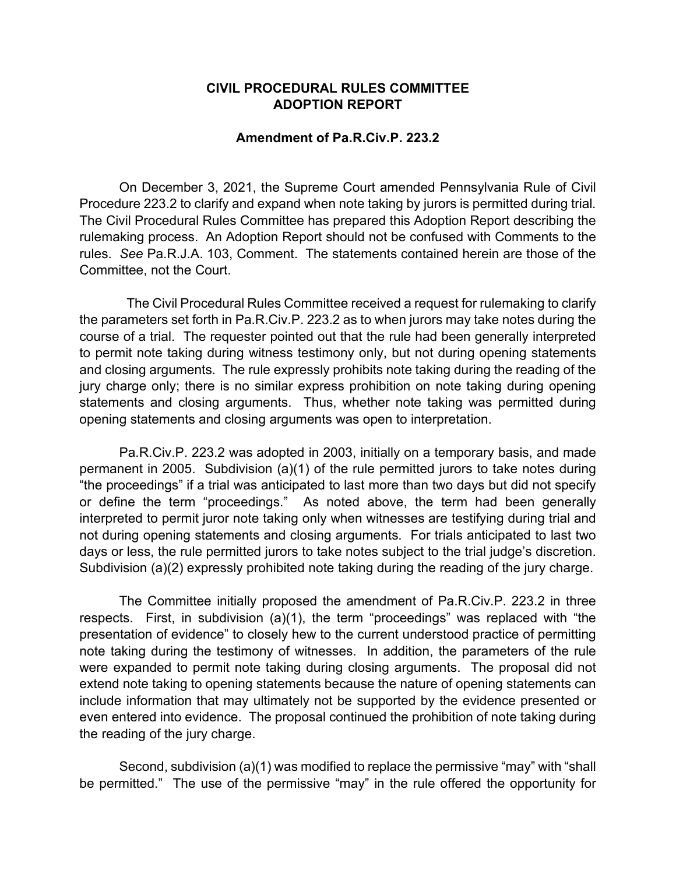## **CIVIL PROCEDURAL RULES COMMITTEE ADOPTION REPORT**

## **Amendment of Pa.R.Civ.P. 223.2**

On December 3, 2021, the Supreme Court amended Pennsylvania Rule of Civil Procedure 223.2 to clarify and expand when note taking by jurors is permitted during trial*.*  The Civil Procedural Rules Committee has prepared this Adoption Report describing the rulemaking process. An Adoption Report should not be confused with Comments to the rules. *See* Pa.R.J.A. 103, Comment. The statements contained herein are those of the Committee, not the Court.

 The Civil Procedural Rules Committee received a request for rulemaking to clarify the parameters set forth in Pa.R.Civ.P. 223.2 as to when jurors may take notes during the course of a trial. The requester pointed out that the rule had been generally interpreted to permit note taking during witness testimony only, but not during opening statements and closing arguments. The rule expressly prohibits note taking during the reading of the jury charge only; there is no similar express prohibition on note taking during opening statements and closing arguments. Thus, whether note taking was permitted during opening statements and closing arguments was open to interpretation.

Pa.R.Civ.P. 223.2 was adopted in 2003, initially on a temporary basis, and made permanent in 2005. Subdivision (a)(1) of the rule permitted jurors to take notes during "the proceedings" if a trial was anticipated to last more than two days but did not specify or define the term "proceedings." As noted above, the term had been generally interpreted to permit juror note taking only when witnesses are testifying during trial and not during opening statements and closing arguments. For trials anticipated to last two days or less, the rule permitted jurors to take notes subject to the trial judge's discretion. Subdivision (a)(2) expressly prohibited note taking during the reading of the jury charge.

The Committee initially proposed the amendment of Pa.R.Civ.P. 223.2 in three respects. First, in subdivision (a)(1), the term "proceedings" was replaced with "the presentation of evidence" to closely hew to the current understood practice of permitting note taking during the testimony of witnesses. In addition, the parameters of the rule were expanded to permit note taking during closing arguments. The proposal did not extend note taking to opening statements because the nature of opening statements can include information that may ultimately not be supported by the evidence presented or even entered into evidence. The proposal continued the prohibition of note taking during the reading of the jury charge.

Second, subdivision (a)(1) was modified to replace the permissive "may" with "shall be permitted." The use of the permissive "may" in the rule offered the opportunity for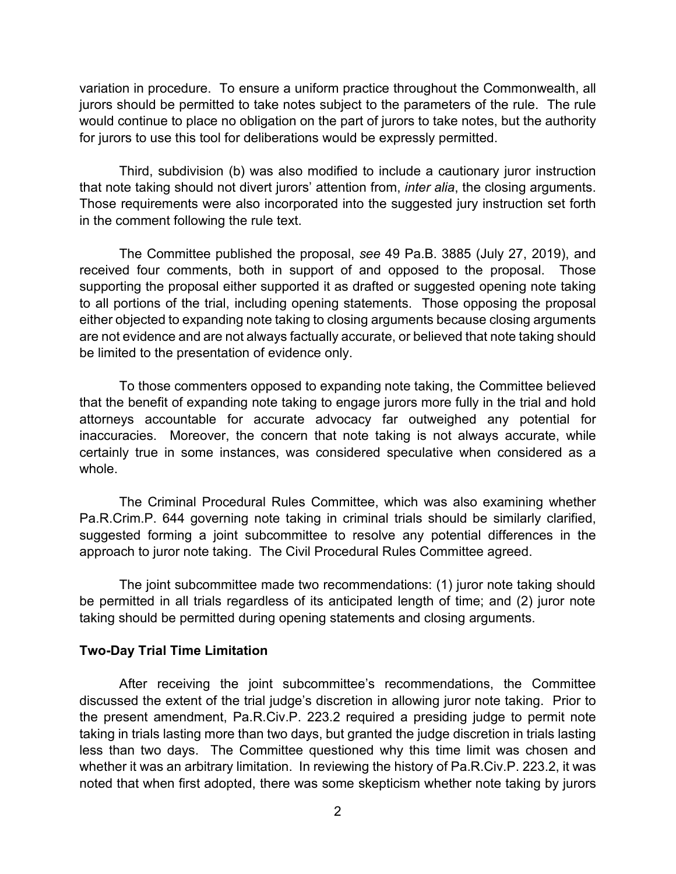variation in procedure. To ensure a uniform practice throughout the Commonwealth, all jurors should be permitted to take notes subject to the parameters of the rule. The rule would continue to place no obligation on the part of jurors to take notes, but the authority for jurors to use this tool for deliberations would be expressly permitted.

Third, subdivision (b) was also modified to include a cautionary juror instruction that note taking should not divert jurors' attention from, *inter alia*, the closing arguments. Those requirements were also incorporated into the suggested jury instruction set forth in the comment following the rule text.

The Committee published the proposal, *see* 49 Pa.B. 3885 (July 27, 2019), and received four comments, both in support of and opposed to the proposal. Those supporting the proposal either supported it as drafted or suggested opening note taking to all portions of the trial, including opening statements. Those opposing the proposal either objected to expanding note taking to closing arguments because closing arguments are not evidence and are not always factually accurate, or believed that note taking should be limited to the presentation of evidence only.

To those commenters opposed to expanding note taking, the Committee believed that the benefit of expanding note taking to engage jurors more fully in the trial and hold attorneys accountable for accurate advocacy far outweighed any potential for inaccuracies. Moreover, the concern that note taking is not always accurate, while certainly true in some instances, was considered speculative when considered as a whole.

The Criminal Procedural Rules Committee, which was also examining whether Pa.R.Crim.P. 644 governing note taking in criminal trials should be similarly clarified, suggested forming a joint subcommittee to resolve any potential differences in the approach to juror note taking. The Civil Procedural Rules Committee agreed.

The joint subcommittee made two recommendations: (1) juror note taking should be permitted in all trials regardless of its anticipated length of time; and (2) juror note taking should be permitted during opening statements and closing arguments.

## **Two-Day Trial Time Limitation**

After receiving the joint subcommittee's recommendations, the Committee discussed the extent of the trial judge's discretion in allowing juror note taking. Prior to the present amendment, Pa.R.Civ.P. 223.2 required a presiding judge to permit note taking in trials lasting more than two days, but granted the judge discretion in trials lasting less than two days. The Committee questioned why this time limit was chosen and whether it was an arbitrary limitation. In reviewing the history of Pa.R.Civ.P. 223.2, it was noted that when first adopted, there was some skepticism whether note taking by jurors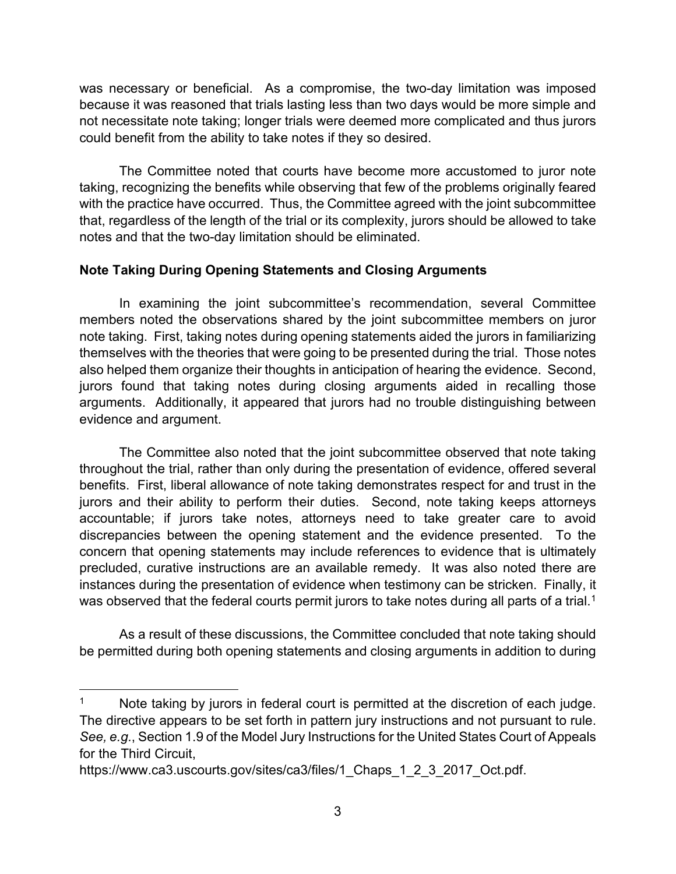was necessary or beneficial. As a compromise, the two-day limitation was imposed because it was reasoned that trials lasting less than two days would be more simple and not necessitate note taking; longer trials were deemed more complicated and thus jurors could benefit from the ability to take notes if they so desired.

The Committee noted that courts have become more accustomed to juror note taking, recognizing the benefits while observing that few of the problems originally feared with the practice have occurred. Thus, the Committee agreed with the joint subcommittee that, regardless of the length of the trial or its complexity, jurors should be allowed to take notes and that the two-day limitation should be eliminated.

## **Note Taking During Opening Statements and Closing Arguments**

In examining the joint subcommittee's recommendation, several Committee members noted the observations shared by the joint subcommittee members on juror note taking. First, taking notes during opening statements aided the jurors in familiarizing themselves with the theories that were going to be presented during the trial. Those notes also helped them organize their thoughts in anticipation of hearing the evidence. Second, jurors found that taking notes during closing arguments aided in recalling those arguments. Additionally, it appeared that jurors had no trouble distinguishing between evidence and argument.

The Committee also noted that the joint subcommittee observed that note taking throughout the trial, rather than only during the presentation of evidence, offered several benefits. First, liberal allowance of note taking demonstrates respect for and trust in the jurors and their ability to perform their duties. Second, note taking keeps attorneys accountable; if jurors take notes, attorneys need to take greater care to avoid discrepancies between the opening statement and the evidence presented. To the concern that opening statements may include references to evidence that is ultimately precluded, curative instructions are an available remedy. It was also noted there are instances during the presentation of evidence when testimony can be stricken. Finally, it was observed that the federal courts permit jurors to take notes during all parts of a trial.<sup>[1](#page-2-0)</sup>

As a result of these discussions, the Committee concluded that note taking should be permitted during both opening statements and closing arguments in addition to during

<span id="page-2-0"></span>Note taking by jurors in federal court is permitted at the discretion of each judge. The directive appears to be set forth in pattern jury instructions and not pursuant to rule. *See, e.g.*, Section 1.9 of the Model Jury Instructions for the United States Court of Appeals for the Third Circuit,

https://www.ca3.uscourts.gov/sites/ca3/files/1 Chaps 1 2 3 2017 Oct.pdf.